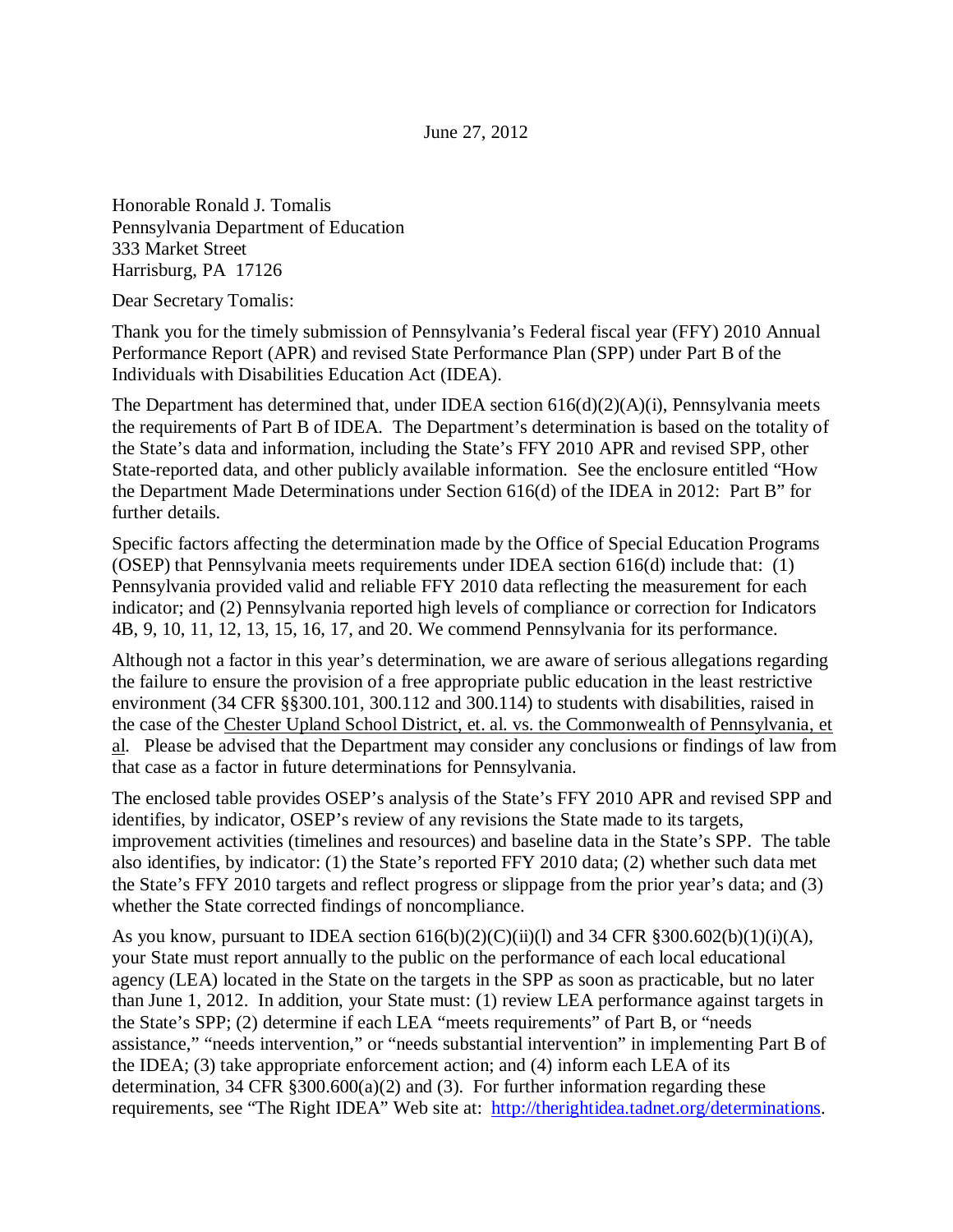Honorable Ronald J. Tomalis Pennsylvania Department of Education 333 Market Street Harrisburg, PA 17126

Dear Secretary Tomalis:

Thank you for the timely submission of Pennsylvania's Federal fiscal year (FFY) 2010 Annual Performance Report (APR) and revised State Performance Plan (SPP) under Part B of the Individuals with Disabilities Education Act (IDEA).

The Department has determined that, under IDEA section  $616(d)(2)(A)(i)$ , Pennsylvania meets the requirements of Part B of IDEA. The Department's determination is based on the totality of the State's data and information, including the State's FFY 2010 APR and revised SPP, other State-reported data, and other publicly available information. See the enclosure entitled "How the Department Made Determinations under Section 616(d) of the IDEA in 2012: Part B" for further details.

Specific factors affecting the determination made by the Office of Special Education Programs (OSEP) that Pennsylvania meets requirements under IDEA section 616(d) include that: (1) Pennsylvania provided valid and reliable FFY 2010 data reflecting the measurement for each indicator; and (2) Pennsylvania reported high levels of compliance or correction for Indicators 4B, 9, 10, 11, 12, 13, 15, 16, 17, and 20. We commend Pennsylvania for its performance.

Although not a factor in this year's determination, we are aware of serious allegations regarding the failure to ensure the provision of a free appropriate public education in the least restrictive environment (34 CFR §§300.101, 300.112 and 300.114) to students with disabilities, raised in the case of the Chester Upland School District, et. al. vs. the Commonwealth of Pennsylvania, et al. Please be advised that the Department may consider any conclusions or findings of law from that case as a factor in future determinations for Pennsylvania.

The enclosed table provides OSEP's analysis of the State's FFY 2010 APR and revised SPP and identifies, by indicator, OSEP's review of any revisions the State made to its targets, improvement activities (timelines and resources) and baseline data in the State's SPP. The table also identifies, by indicator: (1) the State's reported FFY 2010 data; (2) whether such data met the State's FFY 2010 targets and reflect progress or slippage from the prior year's data; and (3) whether the State corrected findings of noncompliance.

As you know, pursuant to IDEA section  $616(b)(2)(C)(ii)(l)$  and 34 CFR §300.602(b)(1)(i)(A), your State must report annually to the public on the performance of each local educational agency (LEA) located in the State on the targets in the SPP as soon as practicable, but no later than June 1, 2012. In addition, your State must: (1) review LEA performance against targets in the State's SPP; (2) determine if each LEA "meets requirements" of Part B, or "needs assistance," "needs intervention," or "needs substantial intervention" in implementing Part B of the IDEA; (3) take appropriate enforcement action; and (4) inform each LEA of its determination, 34 CFR  $\S 300.600(a)(2)$  and (3). For further information regarding these requirements, see "The Right IDEA" Web site at: http://therightidea.tadnet.org/determinations.